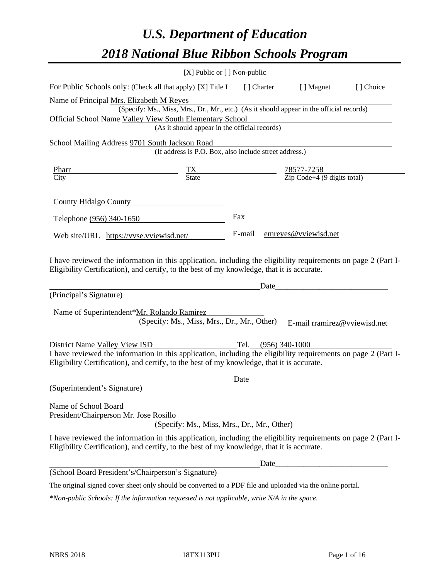# *U.S. Department of Education 2018 National Blue Ribbon Schools Program*

|                                                                                                                                                                                                                                               | [X] Public or [] Non-public                                                              |      |                                                                                                                                                                                                                               |           |
|-----------------------------------------------------------------------------------------------------------------------------------------------------------------------------------------------------------------------------------------------|------------------------------------------------------------------------------------------|------|-------------------------------------------------------------------------------------------------------------------------------------------------------------------------------------------------------------------------------|-----------|
| For Public Schools only: (Check all that apply) [X] Title I [] Charter [] Magnet                                                                                                                                                              |                                                                                          |      |                                                                                                                                                                                                                               | [] Choice |
| Name of Principal Mrs. Elizabeth M Reyes<br>Official School Name Valley View South Elementary School                                                                                                                                          | (Specify: Ms., Miss, Mrs., Dr., Mr., etc.) (As it should appear in the official records) |      |                                                                                                                                                                                                                               |           |
|                                                                                                                                                                                                                                               | (As it should appear in the official records)                                            |      |                                                                                                                                                                                                                               |           |
| School Mailing Address 9701 South Jackson Road                                                                                                                                                                                                |                                                                                          |      |                                                                                                                                                                                                                               |           |
|                                                                                                                                                                                                                                               | (If address is P.O. Box, also include street address.)                                   |      |                                                                                                                                                                                                                               |           |
| <b>Pharr</b>                                                                                                                                                                                                                                  | $\frac{TX}{\text{State}}$ $\frac{78577-7258}{\text{Zip Code}+4 (9 digits total)}$        |      |                                                                                                                                                                                                                               |           |
| City                                                                                                                                                                                                                                          |                                                                                          |      |                                                                                                                                                                                                                               |           |
| County Hidalgo County                                                                                                                                                                                                                         |                                                                                          |      |                                                                                                                                                                                                                               |           |
| Telephone (956) 340-1650                                                                                                                                                                                                                      |                                                                                          | Fax  |                                                                                                                                                                                                                               |           |
| Web site/URL https://vvse.vviewisd.net/                                                                                                                                                                                                       |                                                                                          |      | E-mail emreyes@vviewisd.net                                                                                                                                                                                                   |           |
| (Principal's Signature)<br>Name of Superintendent*Mr. Rolando Ramirez                                                                                                                                                                         | (Specify: Ms., Miss, Mrs., Dr., Mr., Other)                                              |      | E-mail rramirez@vviewisd.net                                                                                                                                                                                                  |           |
|                                                                                                                                                                                                                                               |                                                                                          |      |                                                                                                                                                                                                                               |           |
| District Name Valley View ISD<br>I have reviewed the information in this application, including the eligibility requirements on page 2 (Part I-<br>Eligibility Certification), and certify, to the best of my knowledge, that it is accurate. |                                                                                          |      |                                                                                                                                                                                                                               |           |
|                                                                                                                                                                                                                                               |                                                                                          | Date | the control of the control of the control of the control of the control of the control of the control of the control of the control of the control of the control of the control of the control of the control of the control |           |
| (Superintendent's Signature)                                                                                                                                                                                                                  |                                                                                          |      |                                                                                                                                                                                                                               |           |
| Name of School Board<br>President/Chairperson Mr. Jose Rosillo                                                                                                                                                                                | (Specify: Ms., Miss, Mrs., Dr., Mr., Other)                                              |      |                                                                                                                                                                                                                               |           |
| I have reviewed the information in this application, including the eligibility requirements on page 2 (Part I-<br>Eligibility Certification), and certify, to the best of my knowledge, that it is accurate.                                  |                                                                                          |      |                                                                                                                                                                                                                               |           |
|                                                                                                                                                                                                                                               |                                                                                          | Date |                                                                                                                                                                                                                               |           |
| (School Board President's/Chairperson's Signature)                                                                                                                                                                                            |                                                                                          |      |                                                                                                                                                                                                                               |           |
| The original signed cover sheet only should be converted to a PDF file and uploaded via the online portal.                                                                                                                                    |                                                                                          |      |                                                                                                                                                                                                                               |           |

*\*Non-public Schools: If the information requested is not applicable, write N/A in the space.*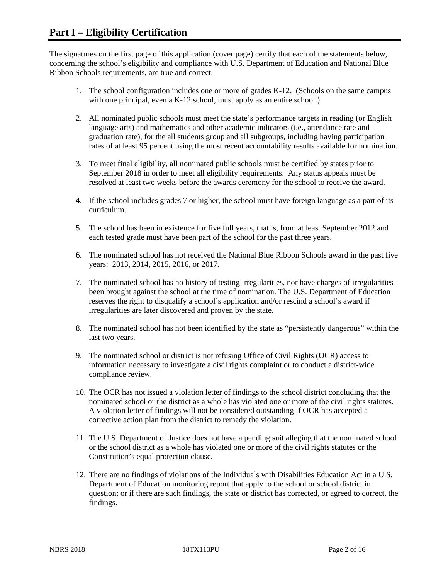The signatures on the first page of this application (cover page) certify that each of the statements below, concerning the school's eligibility and compliance with U.S. Department of Education and National Blue Ribbon Schools requirements, are true and correct.

- 1. The school configuration includes one or more of grades K-12. (Schools on the same campus with one principal, even a K-12 school, must apply as an entire school.)
- 2. All nominated public schools must meet the state's performance targets in reading (or English language arts) and mathematics and other academic indicators (i.e., attendance rate and graduation rate), for the all students group and all subgroups, including having participation rates of at least 95 percent using the most recent accountability results available for nomination.
- 3. To meet final eligibility, all nominated public schools must be certified by states prior to September 2018 in order to meet all eligibility requirements. Any status appeals must be resolved at least two weeks before the awards ceremony for the school to receive the award.
- 4. If the school includes grades 7 or higher, the school must have foreign language as a part of its curriculum.
- 5. The school has been in existence for five full years, that is, from at least September 2012 and each tested grade must have been part of the school for the past three years.
- 6. The nominated school has not received the National Blue Ribbon Schools award in the past five years: 2013, 2014, 2015, 2016, or 2017.
- 7. The nominated school has no history of testing irregularities, nor have charges of irregularities been brought against the school at the time of nomination. The U.S. Department of Education reserves the right to disqualify a school's application and/or rescind a school's award if irregularities are later discovered and proven by the state.
- 8. The nominated school has not been identified by the state as "persistently dangerous" within the last two years.
- 9. The nominated school or district is not refusing Office of Civil Rights (OCR) access to information necessary to investigate a civil rights complaint or to conduct a district-wide compliance review.
- 10. The OCR has not issued a violation letter of findings to the school district concluding that the nominated school or the district as a whole has violated one or more of the civil rights statutes. A violation letter of findings will not be considered outstanding if OCR has accepted a corrective action plan from the district to remedy the violation.
- 11. The U.S. Department of Justice does not have a pending suit alleging that the nominated school or the school district as a whole has violated one or more of the civil rights statutes or the Constitution's equal protection clause.
- 12. There are no findings of violations of the Individuals with Disabilities Education Act in a U.S. Department of Education monitoring report that apply to the school or school district in question; or if there are such findings, the state or district has corrected, or agreed to correct, the findings.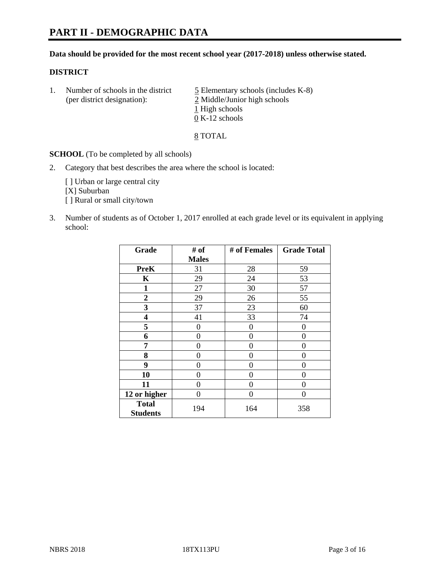# **PART II - DEMOGRAPHIC DATA**

#### **Data should be provided for the most recent school year (2017-2018) unless otherwise stated.**

#### **DISTRICT**

1. Number of schools in the district  $\frac{5}{2}$  Elementary schools (includes K-8) (per district designation): 2 Middle/Junior high schools 1 High schools 0 K-12 schools

#### 8 TOTAL

**SCHOOL** (To be completed by all schools)

2. Category that best describes the area where the school is located:

[] Urban or large central city [X] Suburban [] Rural or small city/town

3. Number of students as of October 1, 2017 enrolled at each grade level or its equivalent in applying school:

| Grade                           | # of         | # of Females | <b>Grade Total</b> |
|---------------------------------|--------------|--------------|--------------------|
|                                 | <b>Males</b> |              |                    |
| <b>PreK</b>                     | 31           | 28           | 59                 |
| $\mathbf K$                     | 29           | 24           | 53                 |
| $\mathbf{1}$                    | 27           | 30           | 57                 |
| 2                               | 29           | 26           | 55                 |
| 3                               | 37           | 23           | 60                 |
| 4                               | 41           | 33           | 74                 |
| 5                               | 0            | $\theta$     | 0                  |
| 6                               | 0            | 0            | 0                  |
| 7                               | 0            | 0            | 0                  |
| 8                               | 0            | 0            | 0                  |
| 9                               | $\theta$     | 0            | 0                  |
| 10                              | 0            | 0            | 0                  |
| 11                              | 0            | 0            | 0                  |
| 12 or higher                    | 0            | 0            | 0                  |
| <b>Total</b><br><b>Students</b> | 194          | 164          | 358                |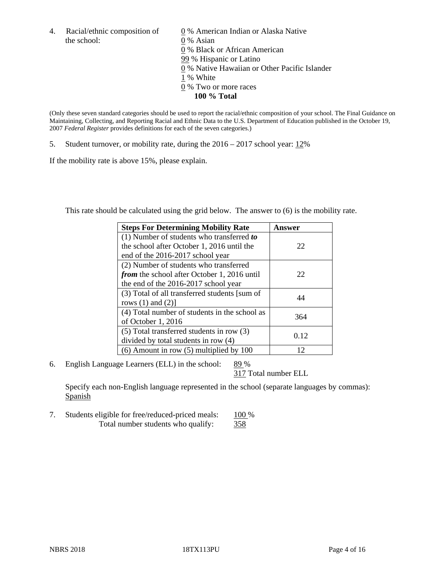the school: 0 % Asian

4. Racial/ethnic composition of  $\qquad 0\%$  American Indian or Alaska Native 0 % Black or African American 99 % Hispanic or Latino 0 % Native Hawaiian or Other Pacific Islander 1 % White 0 % Two or more races **100 % Total**

(Only these seven standard categories should be used to report the racial/ethnic composition of your school. The Final Guidance on Maintaining, Collecting, and Reporting Racial and Ethnic Data to the U.S. Department of Education published in the October 19, 2007 *Federal Register* provides definitions for each of the seven categories.)

5. Student turnover, or mobility rate, during the 2016 – 2017 school year: 12%

If the mobility rate is above 15%, please explain.

This rate should be calculated using the grid below. The answer to (6) is the mobility rate.

| <b>Steps For Determining Mobility Rate</b>         | Answer |
|----------------------------------------------------|--------|
| (1) Number of students who transferred to          |        |
| the school after October 1, 2016 until the         | 22     |
| end of the 2016-2017 school year                   |        |
| (2) Number of students who transferred             |        |
| <i>from</i> the school after October 1, 2016 until | 22     |
| the end of the 2016-2017 school year               |        |
| (3) Total of all transferred students [sum of      | 44     |
| rows $(1)$ and $(2)$ ]                             |        |
| (4) Total number of students in the school as      | 364    |
| of October 1, 2016                                 |        |
| (5) Total transferred students in row (3)          | 0.12   |
| divided by total students in row (4)               |        |
| $(6)$ Amount in row $(5)$ multiplied by 100        | 12     |

6. English Language Learners (ELL) in the school:  $89\%$ 

317 Total number ELL

Specify each non-English language represented in the school (separate languages by commas): Spanish

7. Students eligible for free/reduced-priced meals: 100 % Total number students who qualify: 358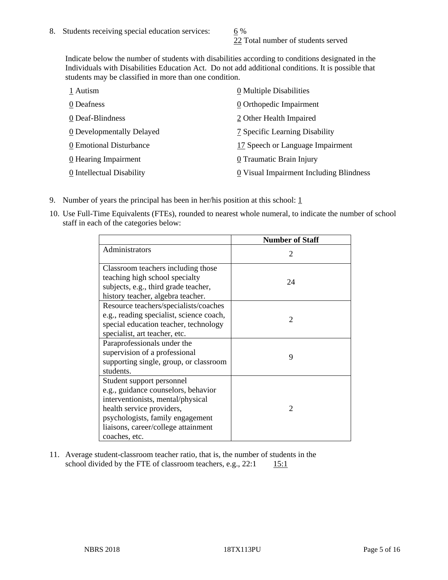22 Total number of students served

Indicate below the number of students with disabilities according to conditions designated in the Individuals with Disabilities Education Act. Do not add additional conditions. It is possible that students may be classified in more than one condition.

| 1 Autism                           | 0 Multiple Disabilities                 |
|------------------------------------|-----------------------------------------|
| 0 Deafness                         | 0 Orthopedic Impairment                 |
| 0 Deaf-Blindness                   | 2 Other Health Impaired                 |
| 0 Developmentally Delayed          | 7 Specific Learning Disability          |
| 0 Emotional Disturbance            | 17 Speech or Language Impairment        |
| $\underline{0}$ Hearing Impairment | 0 Traumatic Brain Injury                |
| 0 Intellectual Disability          | 0 Visual Impairment Including Blindness |

- 9. Number of years the principal has been in her/his position at this school:  $1$
- 10. Use Full-Time Equivalents (FTEs), rounded to nearest whole numeral, to indicate the number of school staff in each of the categories below:

|                                                                                                                                                                                                                                | <b>Number of Staff</b>      |
|--------------------------------------------------------------------------------------------------------------------------------------------------------------------------------------------------------------------------------|-----------------------------|
| Administrators                                                                                                                                                                                                                 | $\mathcal{D}_{\mathcal{A}}$ |
| Classroom teachers including those<br>teaching high school specialty<br>subjects, e.g., third grade teacher,<br>history teacher, algebra teacher.                                                                              | 24                          |
| Resource teachers/specialists/coaches<br>e.g., reading specialist, science coach,<br>special education teacher, technology<br>specialist, art teacher, etc.                                                                    | $\mathfrak{D}$              |
| Paraprofessionals under the<br>supervision of a professional<br>supporting single, group, or classroom<br>students.                                                                                                            | 9                           |
| Student support personnel<br>e.g., guidance counselors, behavior<br>interventionists, mental/physical<br>health service providers,<br>psychologists, family engagement<br>liaisons, career/college attainment<br>coaches, etc. | $\mathcal{D}_{\mathcal{A}}$ |

11. Average student-classroom teacher ratio, that is, the number of students in the school divided by the FTE of classroom teachers, e.g.,  $22:1$  15:1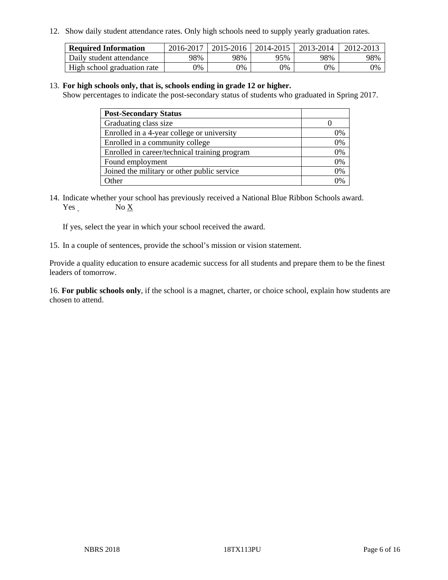12. Show daily student attendance rates. Only high schools need to supply yearly graduation rates.

| <b>Required Information</b> | 2016-2017 | 2015-2016 | 2014-2015 | 2013-2014 | 2012-2013 |
|-----------------------------|-----------|-----------|-----------|-----------|-----------|
| Daily student attendance    | 98%       | 98%       | 95%       | 98%       | 98%       |
| High school graduation rate | 0%        | 0%        | 0%        | 0%        | 0%        |

#### 13. **For high schools only, that is, schools ending in grade 12 or higher.**

Show percentages to indicate the post-secondary status of students who graduated in Spring 2017.

| <b>Post-Secondary Status</b>                  |    |
|-----------------------------------------------|----|
| Graduating class size                         |    |
| Enrolled in a 4-year college or university    | 0% |
| Enrolled in a community college               | 0% |
| Enrolled in career/technical training program | 0% |
| Found employment                              | 0% |
| Joined the military or other public service   | 0% |
| Other                                         |    |

14. Indicate whether your school has previously received a National Blue Ribbon Schools award. Yes No X

If yes, select the year in which your school received the award.

15. In a couple of sentences, provide the school's mission or vision statement.

Provide a quality education to ensure academic success for all students and prepare them to be the finest leaders of tomorrow.

16. **For public schools only**, if the school is a magnet, charter, or choice school, explain how students are chosen to attend.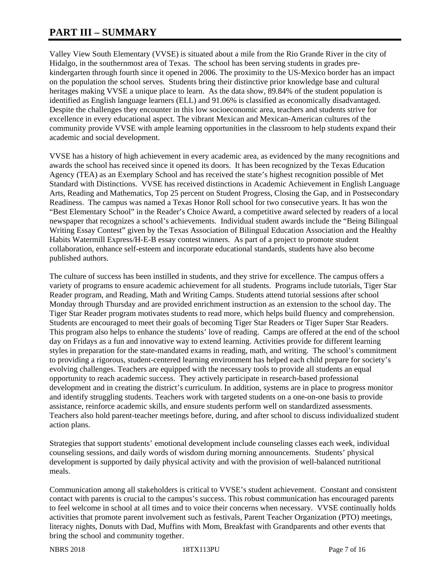# **PART III – SUMMARY**

Valley View South Elementary (VVSE) is situated about a mile from the Rio Grande River in the city of Hidalgo, in the southernmost area of Texas. The school has been serving students in grades prekindergarten through fourth since it opened in 2006. The proximity to the US-Mexico border has an impact on the population the school serves. Students bring their distinctive prior knowledge base and cultural heritages making VVSE a unique place to learn. As the data show, 89.84% of the student population is identified as English language learners (ELL) and 91.06% is classified as economically disadvantaged. Despite the challenges they encounter in this low socioeconomic area, teachers and students strive for excellence in every educational aspect. The vibrant Mexican and Mexican-American cultures of the community provide VVSE with ample learning opportunities in the classroom to help students expand their academic and social development.

VVSE has a history of high achievement in every academic area, as evidenced by the many recognitions and awards the school has received since it opened its doors. It has been recognized by the Texas Education Agency (TEA) as an Exemplary School and has received the state's highest recognition possible of Met Standard with Distinctions. VVSE has received distinctions in Academic Achievement in English Language Arts, Reading and Mathematics, Top 25 percent on Student Progress, Closing the Gap, and in Postsecondary Readiness. The campus was named a Texas Honor Roll school for two consecutive years. It has won the "Best Elementary School" in the Reader's Choice Award, a competitive award selected by readers of a local newspaper that recognizes a school's achievements. Individual student awards include the "Being Bilingual Writing Essay Contest" given by the Texas Association of Bilingual Education Association and the Healthy Habits Watermill Express/H-E-B essay contest winners. As part of a project to promote student collaboration, enhance self-esteem and incorporate educational standards, students have also become published authors.

The culture of success has been instilled in students, and they strive for excellence. The campus offers a variety of programs to ensure academic achievement for all students. Programs include tutorials, Tiger Star Reader program, and Reading, Math and Writing Camps. Students attend tutorial sessions after school Monday through Thursday and are provided enrichment instruction as an extension to the school day. The Tiger Star Reader program motivates students to read more, which helps build fluency and comprehension. Students are encouraged to meet their goals of becoming Tiger Star Readers or Tiger Super Star Readers. This program also helps to enhance the students' love of reading. Camps are offered at the end of the school day on Fridays as a fun and innovative way to extend learning. Activities provide for different learning styles in preparation for the state-mandated exams in reading, math, and writing. The school's commitment to providing a rigorous, student-centered learning environment has helped each child prepare for society's evolving challenges. Teachers are equipped with the necessary tools to provide all students an equal opportunity to reach academic success. They actively participate in research-based professional development and in creating the district's curriculum. In addition, systems are in place to progress monitor and identify struggling students. Teachers work with targeted students on a one-on-one basis to provide assistance, reinforce academic skills, and ensure students perform well on standardized assessments. Teachers also hold parent-teacher meetings before, during, and after school to discuss individualized student action plans.

Strategies that support students' emotional development include counseling classes each week, individual counseling sessions, and daily words of wisdom during morning announcements. Students' physical development is supported by daily physical activity and with the provision of well-balanced nutritional meals.

Communication among all stakeholders is critical to VVSE's student achievement. Constant and consistent contact with parents is crucial to the campus's success. This robust communication has encouraged parents to feel welcome in school at all times and to voice their concerns when necessary. VVSE continually holds activities that promote parent involvement such as festivals, Parent Teacher Organization (PTO) meetings, literacy nights, Donuts with Dad, Muffins with Mom, Breakfast with Grandparents and other events that bring the school and community together.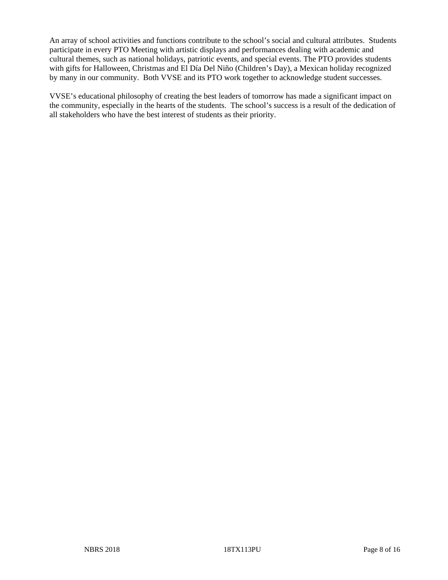An array of school activities and functions contribute to the school's social and cultural attributes. Students participate in every PTO Meeting with artistic displays and performances dealing with academic and cultural themes, such as national holidays, patriotic events, and special events. The PTO provides students with gifts for Halloween, Christmas and El Día Del Niño (Children's Day), a Mexican holiday recognized by many in our community. Both VVSE and its PTO work together to acknowledge student successes.

VVSE's educational philosophy of creating the best leaders of tomorrow has made a significant impact on the community, especially in the hearts of the students. The school's success is a result of the dedication of all stakeholders who have the best interest of students as their priority.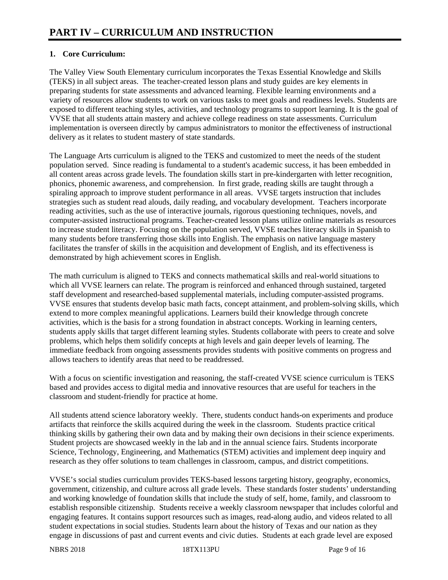## **1. Core Curriculum:**

The Valley View South Elementary curriculum incorporates the Texas Essential Knowledge and Skills (TEKS) in all subject areas. The teacher-created lesson plans and study guides are key elements in preparing students for state assessments and advanced learning. Flexible learning environments and a variety of resources allow students to work on various tasks to meet goals and readiness levels. Students are exposed to different teaching styles, activities, and technology programs to support learning. It is the goal of VVSE that all students attain mastery and achieve college readiness on state assessments. Curriculum implementation is overseen directly by campus administrators to monitor the effectiveness of instructional delivery as it relates to student mastery of state standards.

The Language Arts curriculum is aligned to the TEKS and customized to meet the needs of the student population served. Since reading is fundamental to a student's academic success, it has been embedded in all content areas across grade levels. The foundation skills start in pre-kindergarten with letter recognition, phonics, phonemic awareness, and comprehension. In first grade, reading skills are taught through a spiraling approach to improve student performance in all areas. VVSE targets instruction that includes strategies such as student read alouds, daily reading, and vocabulary development. Teachers incorporate reading activities, such as the use of interactive journals, rigorous questioning techniques, novels, and computer-assisted instructional programs. Teacher-created lesson plans utilize online materials as resources to increase student literacy. Focusing on the population served, VVSE teaches literacy skills in Spanish to many students before transferring those skills into English. The emphasis on native language mastery facilitates the transfer of skills in the acquisition and development of English, and its effectiveness is demonstrated by high achievement scores in English.

The math curriculum is aligned to TEKS and connects mathematical skills and real-world situations to which all VVSE learners can relate. The program is reinforced and enhanced through sustained, targeted staff development and researched-based supplemental materials, including computer-assisted programs. VVSE ensures that students develop basic math facts, concept attainment, and problem-solving skills, which extend to more complex meaningful applications. Learners build their knowledge through concrete activities, which is the basis for a strong foundation in abstract concepts. Working in learning centers, students apply skills that target different learning styles. Students collaborate with peers to create and solve problems, which helps them solidify concepts at high levels and gain deeper levels of learning. The immediate feedback from ongoing assessments provides students with positive comments on progress and allows teachers to identify areas that need to be readdressed.

With a focus on scientific investigation and reasoning, the staff-created VVSE science curriculum is TEKS based and provides access to digital media and innovative resources that are useful for teachers in the classroom and student-friendly for practice at home.

All students attend science laboratory weekly. There, students conduct hands-on experiments and produce artifacts that reinforce the skills acquired during the week in the classroom. Students practice critical thinking skills by gathering their own data and by making their own decisions in their science experiments. Student projects are showcased weekly in the lab and in the annual science fairs. Students incorporate Science, Technology, Engineering, and Mathematics (STEM) activities and implement deep inquiry and research as they offer solutions to team challenges in classroom, campus, and district competitions.

VVSE's social studies curriculum provides TEKS-based lessons targeting history, geography, economics, government, citizenship, and culture across all grade levels. These standards foster students' understanding and working knowledge of foundation skills that include the study of self, home, family, and classroom to establish responsible citizenship. Students receive a weekly classroom newspaper that includes colorful and engaging features. It contains support resources such as images, read-along audio, and videos related to all student expectations in social studies. Students learn about the history of Texas and our nation as they engage in discussions of past and current events and civic duties. Students at each grade level are exposed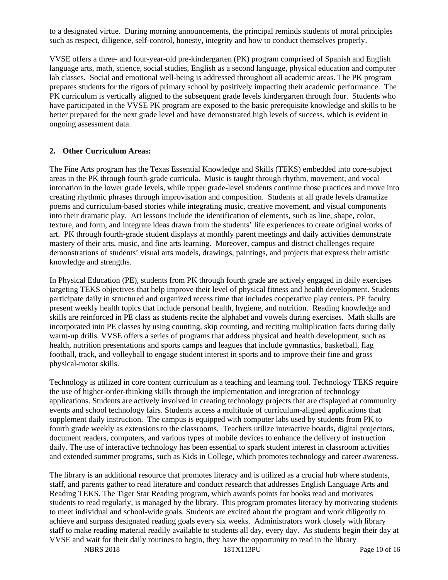to a designated virtue. During morning announcements, the principal reminds students of moral principles such as respect, diligence, self-control, honesty, integrity and how to conduct themselves properly.

VVSE offers a three- and four-year-old pre-kindergarten (PK) program comprised of Spanish and English language arts, math, science, social studies, English as a second language, physical education and computer lab classes. Social and emotional well-being is addressed throughout all academic areas. The PK program prepares students for the rigors of primary school by positively impacting their academic performance. The PK curriculum is vertically aligned to the subsequent grade levels kindergarten through four. Students who have participated in the VVSE PK program are exposed to the basic prerequisite knowledge and skills to be better prepared for the next grade level and have demonstrated high levels of success, which is evident in ongoing assessment data.

#### **2. Other Curriculum Areas:**

The Fine Arts program has the Texas Essential Knowledge and Skills (TEKS) embedded into core-subject areas in the PK through fourth-grade curricula. Music is taught through rhythm, movement, and vocal intonation in the lower grade levels, while upper grade-level students continue those practices and move into creating rhythmic phrases through improvisation and composition. Students at all grade levels dramatize poems and curriculum-based stories while integrating music, creative movement, and visual components into their dramatic play. Art lessons include the identification of elements, such as line, shape, color, texture, and form, and integrate ideas drawn from the students' life experiences to create original works of art. PK through fourth-grade student displays at monthly parent meetings and daily activities demonstrate mastery of their arts, music, and fine arts learning. Moreover, campus and district challenges require demonstrations of students' visual arts models, drawings, paintings, and projects that express their artistic knowledge and strengths.

In Physical Education (PE), students from PK through fourth grade are actively engaged in daily exercises targeting TEKS objectives that help improve their level of physical fitness and health development. Students participate daily in structured and organized recess time that includes cooperative play centers. PE faculty present weekly health topics that include personal health, hygiene, and nutrition. Reading knowledge and skills are reinforced in PE class as students recite the alphabet and vowels during exercises. Math skills are incorporated into PE classes by using counting, skip counting, and reciting multiplication facts during daily warm-up drills. VVSE offers a series of programs that address physical and health development, such as health, nutrition presentations and sports camps and leagues that include gymnastics, basketball, flag football, track, and volleyball to engage student interest in sports and to improve their fine and gross physical-motor skills.

Technology is utilized in core content curriculum as a teaching and learning tool. Technology TEKS require the use of higher-order-thinking skills through the implementation and integration of technology applications. Students are actively involved in creating technology projects that are displayed at community events and school technology fairs. Students access a multitude of curriculum-aligned applications that supplement daily instruction. The campus is equipped with computer labs used by students from PK to fourth grade weekly as extensions to the classrooms. Teachers utilize interactive boards, digital projectors, document readers, computers, and various types of mobile devices to enhance the delivery of instruction daily. The use of interactive technology has been essential to spark student interest in classroom activities and extended summer programs, such as Kids in College, which promotes technology and career awareness.

The library is an additional resource that promotes literacy and is utilized as a crucial hub where students, staff, and parents gather to read literature and conduct research that addresses English Language Arts and Reading TEKS. The Tiger Star Reading program, which awards points for books read and motivates students to read regularly, is managed by the library. This program promotes literacy by motivating students to meet individual and school-wide goals. Students are excited about the program and work diligently to achieve and surpass designated reading goals every six weeks. Administrators work closely with library staff to make reading material readily available to students all day, every day. As students begin their day at VVSE and wait for their daily routines to begin, they have the opportunity to read in the library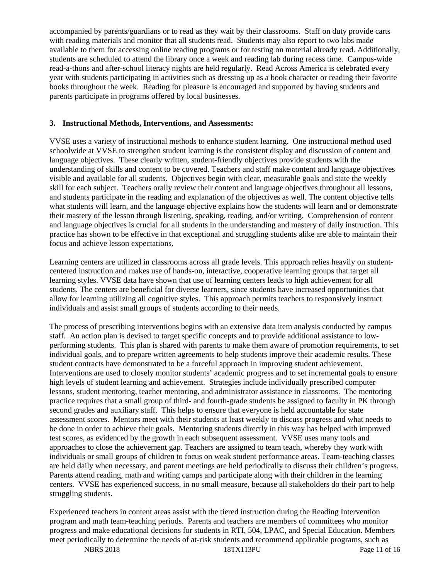accompanied by parents/guardians or to read as they wait by their classrooms. Staff on duty provide carts with reading materials and monitor that all students read. Students may also report to two labs made available to them for accessing online reading programs or for testing on material already read. Additionally, students are scheduled to attend the library once a week and reading lab during recess time. Campus-wide read-a-thons and after-school literacy nights are held regularly. Read Across America is celebrated every year with students participating in activities such as dressing up as a book character or reading their favorite books throughout the week. Reading for pleasure is encouraged and supported by having students and parents participate in programs offered by local businesses.

#### **3. Instructional Methods, Interventions, and Assessments:**

VVSE uses a variety of instructional methods to enhance student learning. One instructional method used schoolwide at VVSE to strengthen student learning is the consistent display and discussion of content and language objectives. These clearly written, student-friendly objectives provide students with the understanding of skills and content to be covered. Teachers and staff make content and language objectives visible and available for all students. Objectives begin with clear, measurable goals and state the weekly skill for each subject. Teachers orally review their content and language objectives throughout all lessons, and students participate in the reading and explanation of the objectives as well. The content objective tells what students will learn, and the language objective explains how the students will learn and or demonstrate their mastery of the lesson through listening, speaking, reading, and/or writing. Comprehension of content and language objectives is crucial for all students in the understanding and mastery of daily instruction. This practice has shown to be effective in that exceptional and struggling students alike are able to maintain their focus and achieve lesson expectations.

Learning centers are utilized in classrooms across all grade levels. This approach relies heavily on studentcentered instruction and makes use of hands-on, interactive, cooperative learning groups that target all learning styles. VVSE data have shown that use of learning centers leads to high achievement for all students. The centers are beneficial for diverse learners, since students have increased opportunities that allow for learning utilizing all cognitive styles. This approach permits teachers to responsively instruct individuals and assist small groups of students according to their needs.

The process of prescribing interventions begins with an extensive data item analysis conducted by campus staff. An action plan is devised to target specific concepts and to provide additional assistance to lowperforming students. This plan is shared with parents to make them aware of promotion requirements, to set individual goals, and to prepare written agreements to help students improve their academic results. These student contracts have demonstrated to be a forceful approach in improving student achievement. Interventions are used to closely monitor students' academic progress and to set incremental goals to ensure high levels of student learning and achievement. Strategies include individually prescribed computer lessons, student mentoring, teacher mentoring, and administrator assistance in classrooms. The mentoring practice requires that a small group of third- and fourth-grade students be assigned to faculty in PK through second grades and auxiliary staff. This helps to ensure that everyone is held accountable for state assessment scores. Mentors meet with their students at least weekly to discuss progress and what needs to be done in order to achieve their goals. Mentoring students directly in this way has helped with improved test scores, as evidenced by the growth in each subsequent assessment. VVSE uses many tools and approaches to close the achievement gap. Teachers are assigned to team teach, whereby they work with individuals or small groups of children to focus on weak student performance areas. Team-teaching classes are held daily when necessary, and parent meetings are held periodically to discuss their children's progress. Parents attend reading, math and writing camps and participate along with their children in the learning centers. VVSE has experienced success, in no small measure, because all stakeholders do their part to help struggling students.

Experienced teachers in content areas assist with the tiered instruction during the Reading Intervention program and math team-teaching periods. Parents and teachers are members of committees who monitor progress and make educational decisions for students in RTI, 504, LPAC, and Special Education. Members meet periodically to determine the needs of at-risk students and recommend applicable programs, such as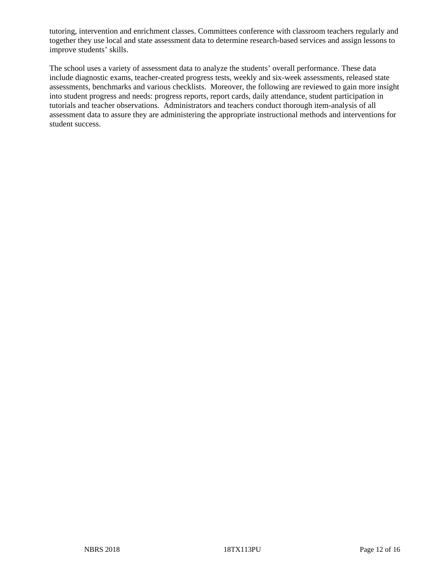tutoring, intervention and enrichment classes. Committees conference with classroom teachers regularly and together they use local and state assessment data to determine research-based services and assign lessons to improve students' skills.

The school uses a variety of assessment data to analyze the students' overall performance. These data include diagnostic exams, teacher-created progress tests, weekly and six-week assessments, released state assessments, benchmarks and various checklists. Moreover, the following are reviewed to gain more insight into student progress and needs: progress reports, report cards, daily attendance, student participation in tutorials and teacher observations. Administrators and teachers conduct thorough item-analysis of all assessment data to assure they are administering the appropriate instructional methods and interventions for student success.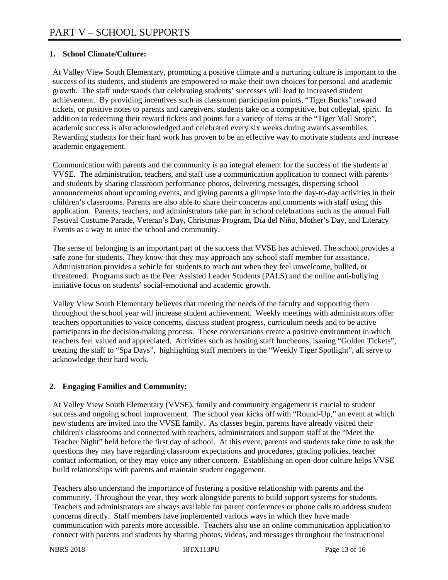#### **1. School Climate/Culture:**

At Valley View South Elementary, promoting a positive climate and a nurturing culture is important to the success of its students, and students are empowered to make their own choices for personal and academic growth. The staff understands that celebrating students' successes will lead to increased student achievement. By providing incentives such as classroom participation points, "Tiger Bucks" reward tickets, or positive notes to parents and caregivers, students take on a competitive, but collegial, spirit. In addition to redeeming their reward tickets and points for a variety of items at the "Tiger Mall Store", academic success is also acknowledged and celebrated every six weeks during awards assemblies. Rewarding students for their hard work has proven to be an effective way to motivate students and increase academic engagement.

Communication with parents and the community is an integral element for the success of the students at VVSE. The administration, teachers, and staff use a communication application to connect with parents and students by sharing classroom performance photos, delivering messages, dispersing school announcements about upcoming events, and giving parents a glimpse into the day-to-day activities in their children's classrooms. Parents are also able to share their concerns and comments with staff using this application. Parents, teachers, and administrators take part in school celebrations such as the annual Fall Festival Costume Parade, Veteran's Day, Christmas Program, Día del Niño, Mother's Day, and Literacy Events as a way to unite the school and community.

The sense of belonging is an important part of the success that VVSE has achieved. The school provides a safe zone for students. They know that they may approach any school staff member for assistance. Administration provides a vehicle for students to reach out when they feel unwelcome, bullied, or threatened. Programs such as the Peer Assisted Leader Students (PALS) and the online anti-bullying initiative focus on students' social-emotional and academic growth.

Valley View South Elementary believes that meeting the needs of the faculty and supporting them throughout the school year will increase student achievement. Weekly meetings with administrators offer teachers opportunities to voice concerns, discuss student progress, curriculum needs and to be active participants in the decision-making process. These conversations create a positive environment in which teachers feel valued and appreciated. Activities such as hosting staff luncheons, issuing "Golden Tickets", treating the staff to "Spa Days", highlighting staff members in the "Weekly Tiger Spotlight", all serve to acknowledge their hard work.

### **2. Engaging Families and Community:**

At Valley View South Elementary (VVSE), family and community engagement is crucial to student success and ongoing school improvement. The school year kicks off with "Round-Up," an event at which new students are invited into the VVSE family. As classes begin, parents have already visited their children's classrooms and connected with teachers, administrators and support staff at the "Meet the Teacher Night" held before the first day of school. At this event, parents and students take time to ask the questions they may have regarding classroom expectations and procedures, grading policies, teacher contact information, or they may voice any other concern. Establishing an open-door culture helps VVSE build relationships with parents and maintain student engagement.

Teachers also understand the importance of fostering a positive relationship with parents and the community. Throughout the year, they work alongside parents to build support systems for students. Teachers and administrators are always available for parent conferences or phone calls to address student concerns directly. Staff members have implemented various ways in which they have made communication with parents more accessible. Teachers also use an online communication application to connect with parents and students by sharing photos, videos, and messages throughout the instructional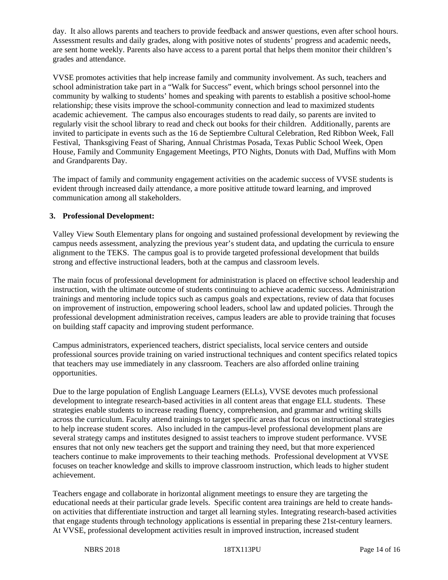day. It also allows parents and teachers to provide feedback and answer questions, even after school hours. Assessment results and daily grades, along with positive notes of students' progress and academic needs, are sent home weekly. Parents also have access to a parent portal that helps them monitor their children's grades and attendance.

VVSE promotes activities that help increase family and community involvement. As such, teachers and school administration take part in a "Walk for Success" event, which brings school personnel into the community by walking to students' homes and speaking with parents to establish a positive school-home relationship; these visits improve the school-community connection and lead to maximized students academic achievement. The campus also encourages students to read daily, so parents are invited to regularly visit the school library to read and check out books for their children. Additionally, parents are invited to participate in events such as the 16 de Septiembre Cultural Celebration, Red Ribbon Week, Fall Festival, Thanksgiving Feast of Sharing, Annual Christmas Posada, Texas Public School Week, Open House, Family and Community Engagement Meetings, PTO Nights, Donuts with Dad, Muffins with Mom and Grandparents Day.

The impact of family and community engagement activities on the academic success of VVSE students is evident through increased daily attendance, a more positive attitude toward learning, and improved communication among all stakeholders.

#### **3. Professional Development:**

Valley View South Elementary plans for ongoing and sustained professional development by reviewing the campus needs assessment, analyzing the previous year's student data, and updating the curricula to ensure alignment to the TEKS. The campus goal is to provide targeted professional development that builds strong and effective instructional leaders, both at the campus and classroom levels.

The main focus of professional development for administration is placed on effective school leadership and instruction, with the ultimate outcome of students continuing to achieve academic success. Administration trainings and mentoring include topics such as campus goals and expectations, review of data that focuses on improvement of instruction, empowering school leaders, school law and updated policies. Through the professional development administration receives, campus leaders are able to provide training that focuses on building staff capacity and improving student performance.

Campus administrators, experienced teachers, district specialists, local service centers and outside professional sources provide training on varied instructional techniques and content specifics related topics that teachers may use immediately in any classroom. Teachers are also afforded online training opportunities.

Due to the large population of English Language Learners (ELLs), VVSE devotes much professional development to integrate research-based activities in all content areas that engage ELL students. These strategies enable students to increase reading fluency, comprehension, and grammar and writing skills across the curriculum. Faculty attend trainings to target specific areas that focus on instructional strategies to help increase student scores. Also included in the campus-level professional development plans are several strategy camps and institutes designed to assist teachers to improve student performance. VVSE ensures that not only new teachers get the support and training they need, but that more experienced teachers continue to make improvements to their teaching methods. Professional development at VVSE focuses on teacher knowledge and skills to improve classroom instruction, which leads to higher student achievement.

Teachers engage and collaborate in horizontal alignment meetings to ensure they are targeting the educational needs at their particular grade levels. Specific content area trainings are held to create handson activities that differentiate instruction and target all learning styles. Integrating research-based activities that engage students through technology applications is essential in preparing these 21st-century learners. At VVSE, professional development activities result in improved instruction, increased student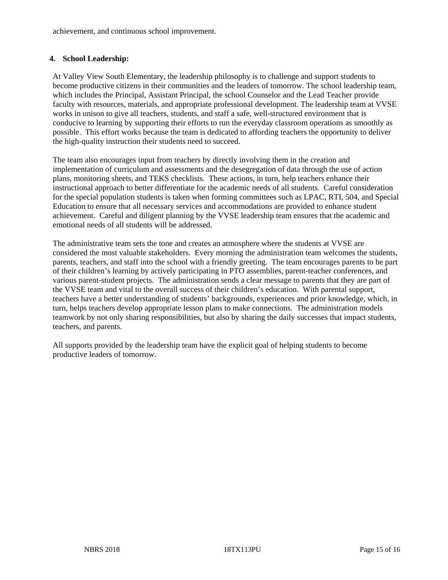achievement, and continuous school improvement.

#### **4. School Leadership:**

At Valley View South Elementary, the leadership philosophy is to challenge and support students to become productive citizens in their communities and the leaders of tomorrow. The school leadership team, which includes the Principal, Assistant Principal, the school Counselor and the Lead Teacher provide faculty with resources, materials, and appropriate professional development. The leadership team at VVSE works in unison to give all teachers, students, and staff a safe, well-structured environment that is conducive to learning by supporting their efforts to run the everyday classroom operations as smoothly as possible. This effort works because the team is dedicated to affording teachers the opportunity to deliver the high-quality instruction their students need to succeed.

The team also encourages input from teachers by directly involving them in the creation and implementation of curriculum and assessments and the desegregation of data through the use of action plans, monitoring sheets, and TEKS checklists. These actions, in turn, help teachers enhance their instructional approach to better differentiate for the academic needs of all students. Careful consideration for the special population students is taken when forming committees such as LPAC, RTI, 504, and Special Education to ensure that all necessary services and accommodations are provided to enhance student achievement. Careful and diligent planning by the VVSE leadership team ensures that the academic and emotional needs of all students will be addressed.

The administrative team sets the tone and creates an atmosphere where the students at VVSE are considered the most valuable stakeholders. Every morning the administration team welcomes the students, parents, teachers, and staff into the school with a friendly greeting. The team encourages parents to be part of their children's learning by actively participating in PTO assemblies, parent-teacher conferences, and various parent-student projects. The administration sends a clear message to parents that they are part of the VVSE team and vital to the overall success of their children's education. With parental support, teachers have a better understanding of students' backgrounds, experiences and prior knowledge, which, in turn, helps teachers develop appropriate lesson plans to make connections. The administration models teamwork by not only sharing responsibilities, but also by sharing the daily successes that impact students, teachers, and parents.

All supports provided by the leadership team have the explicit goal of helping students to become productive leaders of tomorrow.